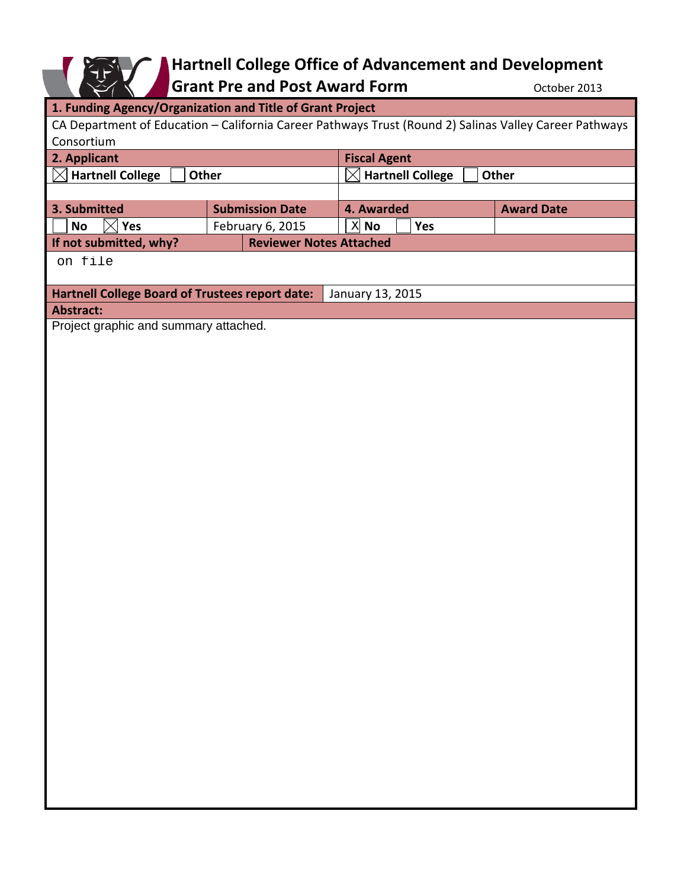# **Hartnell College Office of Advancement and Development**

**Grant Pre and Post Award Form CONDER 10000 Proper 2013** 

| 1. Funding Agency/Organization and Title of Grant Project                                              |                                |                                         |                   |
|--------------------------------------------------------------------------------------------------------|--------------------------------|-----------------------------------------|-------------------|
|                                                                                                        |                                |                                         |                   |
| CA Department of Education - California Career Pathways Trust (Round 2) Salinas Valley Career Pathways |                                |                                         |                   |
| Consortium                                                                                             |                                |                                         |                   |
| 2. Applicant                                                                                           |                                | <b>Fiscal Agent</b>                     |                   |
| $\boxtimes$ Hartnell College<br>Other                                                                  |                                | <b>Hartnell College</b><br><b>Other</b> |                   |
|                                                                                                        |                                |                                         |                   |
| 3. Submitted                                                                                           | <b>Submission Date</b>         | 4. Awarded                              | <b>Award Date</b> |
| $\bowtie$<br><b>No</b><br>Yes                                                                          | February 6, 2015               | $X$ No<br>Yes                           |                   |
| If not submitted, why?                                                                                 | <b>Reviewer Notes Attached</b> |                                         |                   |
| on file                                                                                                |                                |                                         |                   |
|                                                                                                        |                                |                                         |                   |
| Hartnell College Board of Trustees report date:                                                        |                                | January 13, 2015                        |                   |
| <b>Abstract:</b>                                                                                       |                                |                                         |                   |
| Project graphic and summary attached.                                                                  |                                |                                         |                   |
|                                                                                                        |                                |                                         |                   |
|                                                                                                        |                                |                                         |                   |
|                                                                                                        |                                |                                         |                   |
|                                                                                                        |                                |                                         |                   |
|                                                                                                        |                                |                                         |                   |
|                                                                                                        |                                |                                         |                   |
|                                                                                                        |                                |                                         |                   |
|                                                                                                        |                                |                                         |                   |
|                                                                                                        |                                |                                         |                   |
|                                                                                                        |                                |                                         |                   |
|                                                                                                        |                                |                                         |                   |
|                                                                                                        |                                |                                         |                   |
|                                                                                                        |                                |                                         |                   |
|                                                                                                        |                                |                                         |                   |
|                                                                                                        |                                |                                         |                   |
|                                                                                                        |                                |                                         |                   |
|                                                                                                        |                                |                                         |                   |
|                                                                                                        |                                |                                         |                   |
|                                                                                                        |                                |                                         |                   |
|                                                                                                        |                                |                                         |                   |
|                                                                                                        |                                |                                         |                   |
|                                                                                                        |                                |                                         |                   |
|                                                                                                        |                                |                                         |                   |
|                                                                                                        |                                |                                         |                   |
|                                                                                                        |                                |                                         |                   |
|                                                                                                        |                                |                                         |                   |
|                                                                                                        |                                |                                         |                   |
|                                                                                                        |                                |                                         |                   |
|                                                                                                        |                                |                                         |                   |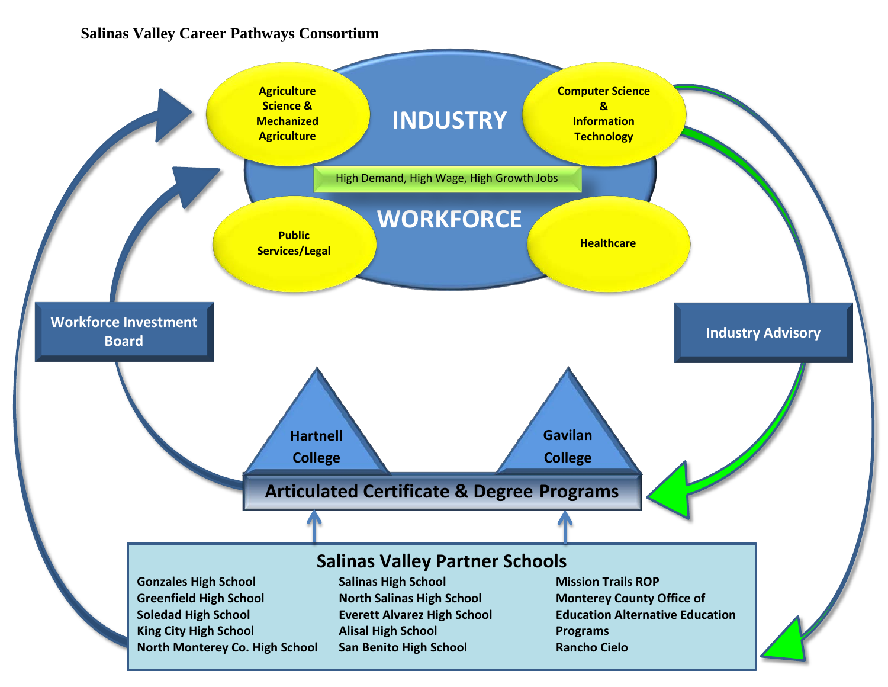# **Salinas Valley Career Pathways Consortium**

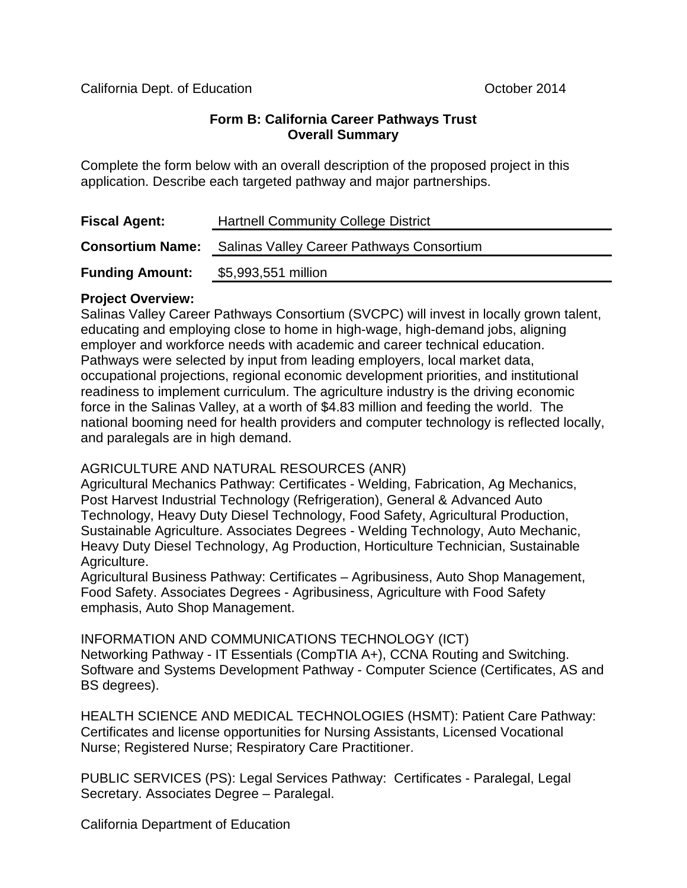#### **Form B: California Career Pathways Trust Overall Summary**

Complete the form below with an overall description of the proposed project in this application. Describe each targeted pathway and major partnerships.

| <b>Fiscal Agent:</b>    | <b>Hartnell Community College District</b>       |  |
|-------------------------|--------------------------------------------------|--|
| <b>Consortium Name:</b> | <b>Salinas Valley Career Pathways Consortium</b> |  |
| <b>Funding Amount:</b>  | \$5,993,551 million                              |  |

#### **Project Overview:**

Salinas Valley Career Pathways Consortium (SVCPC) will invest in locally grown talent, educating and employing close to home in high-wage, high-demand jobs, aligning employer and workforce needs with academic and career technical education. Pathways were selected by input from leading employers, local market data, occupational projections, regional economic development priorities, and institutional readiness to implement curriculum. The agriculture industry is the driving economic force in the Salinas Valley, at a worth of \$4.83 million and feeding the world. The national booming need for health providers and computer technology is reflected locally, and paralegals are in high demand.

### AGRICULTURE AND NATURAL RESOURCES (ANR)

Agricultural Mechanics Pathway: Certificates - Welding, Fabrication, Ag Mechanics, Post Harvest Industrial Technology (Refrigeration), General & Advanced Auto Technology, Heavy Duty Diesel Technology, Food Safety, Agricultural Production, Sustainable Agriculture. Associates Degrees - Welding Technology, Auto Mechanic, Heavy Duty Diesel Technology, Ag Production, Horticulture Technician, Sustainable Agriculture.

Agricultural Business Pathway: Certificates – Agribusiness, Auto Shop Management, Food Safety. Associates Degrees - Agribusiness, Agriculture with Food Safety emphasis, Auto Shop Management.

INFORMATION AND COMMUNICATIONS TECHNOLOGY (ICT) Networking Pathway - IT Essentials (CompTIA A+), CCNA Routing and Switching. Software and Systems Development Pathway - Computer Science (Certificates, AS and BS degrees).

HEALTH SCIENCE AND MEDICAL TECHNOLOGIES (HSMT): Patient Care Pathway: Certificates and license opportunities for Nursing Assistants, Licensed Vocational Nurse; Registered Nurse; Respiratory Care Practitioner.

PUBLIC SERVICES (PS): Legal Services Pathway: Certificates - Paralegal, Legal Secretary. Associates Degree - Paralegal.

California Department of Education